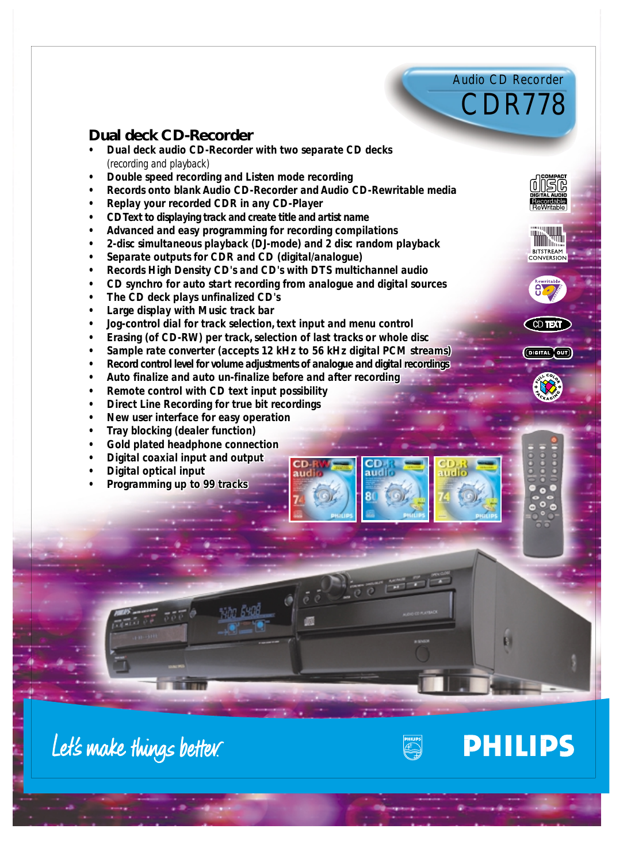Audio CD Recorder



INSIG

BITSTREAM<br>CONVERSION

**CD TEXT** 

(DIGITAL OUT)

## **Dual deck CD-Recorder**

- **•** Dual deck audio CD-Recorder with two separate CD decks *(recording and playback) (recording and*
- *• Double speed recording and Listen mode recording*
- *• Records onto blank Audio CD-Recorder and Audio CD-Rewritable media* • Double speed recording and Listen mode recording<br>• Records onto blank Audio CD-Recorder and Audio CD-Rewritable<br>• Replay your recorded CDR in any CD-Player<br>• CD Text to displaying track and create title and artist name<br>•
- *• Replay your recorded CDR in any CD-Player*
- *• CD Text to displaying track and create title and artist name*
- *• Advanced and easy programming for recording compilations*
- *• 2-disc simultaneous playback (DJ-mode) and 2 disc random playback*
- *• Separate outputs for CDR and CD (digital/analogue)*
- *• Records High Density CD's and CD's with DTS multichannel audio •* 2-disc simultaneous playback (DJ-mode) and 2 disc random playback<br>• Separate outputs for CDR and CD (digital/analogue)<br>• Records High Density CD's and CD's with DTS multichannel audio<br>• CD synchro for auto start record
- *• CD synchro for auto start recording from analogue and digital sources*
- *• The CD deck plays unfinalized CD's The CD's*
- *• Large display with Music track bar*
- *• Jog-control dial for track selection, text input and menu control*
- *• Erasing (of CD-RW) per track, selection of last tracks or whole disc*
- *• Sample rate converter (accepts 12 kHz to 56 kHz digital PCM streams) •* Large display with Music track bar<br>• Jog-control dial for track selection, text input and menu control<br>• Erasing (of CD-RW) per track, selection of last tracks or whole disc<br>• Sample rate converter (accepts 12 kHz to 5
- *• Record control level for volume adjustments of analogue and digital recordings*
- *• Auto finalize and auto un-finalize before and after recording*
- *• Remote control with CD text input possibility Auto finalize and auto Remote CD text*
- 
- *• Direct Line Recording for true bit recordings Direct Line bit recordings• New for easy operation • New user interface for easy operation*
- *• Tray blocking (dealer function)*
- *• Gold plated headphone connection* • Tray blocking (dealer function)<br>• Gold plated headphone connection<br>• Digital coaxial input and output<br>• Programming up to 99 tracks
- *• Digital coaxial input and output*
- *• Digital optical input*
- *• Programming up to 99 tracks*





**PHILIPS**